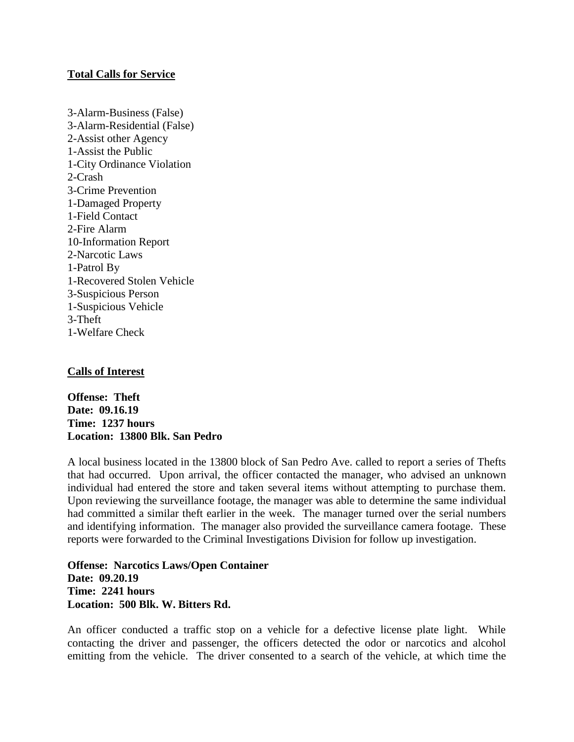# **Total Calls for Service**

3-Alarm-Business (False) 3-Alarm-Residential (False) 2-Assist other Agency 1-Assist the Public 1-City Ordinance Violation 2-Crash 3-Crime Prevention 1-Damaged Property 1-Field Contact 2-Fire Alarm 10-Information Report 2-Narcotic Laws 1-Patrol By 1-Recovered Stolen Vehicle 3-Suspicious Person 1-Suspicious Vehicle 3-Theft 1-Welfare Check

# **Calls of Interest**

**Offense: Theft Date: 09.16.19 Time: 1237 hours Location: 13800 Blk. San Pedro**

A local business located in the 13800 block of San Pedro Ave. called to report a series of Thefts that had occurred. Upon arrival, the officer contacted the manager, who advised an unknown individual had entered the store and taken several items without attempting to purchase them. Upon reviewing the surveillance footage, the manager was able to determine the same individual had committed a similar theft earlier in the week. The manager turned over the serial numbers and identifying information. The manager also provided the surveillance camera footage. These reports were forwarded to the Criminal Investigations Division for follow up investigation.

**Offense: Narcotics Laws/Open Container Date: 09.20.19 Time: 2241 hours Location: 500 Blk. W. Bitters Rd.**

An officer conducted a traffic stop on a vehicle for a defective license plate light. While contacting the driver and passenger, the officers detected the odor or narcotics and alcohol emitting from the vehicle. The driver consented to a search of the vehicle, at which time the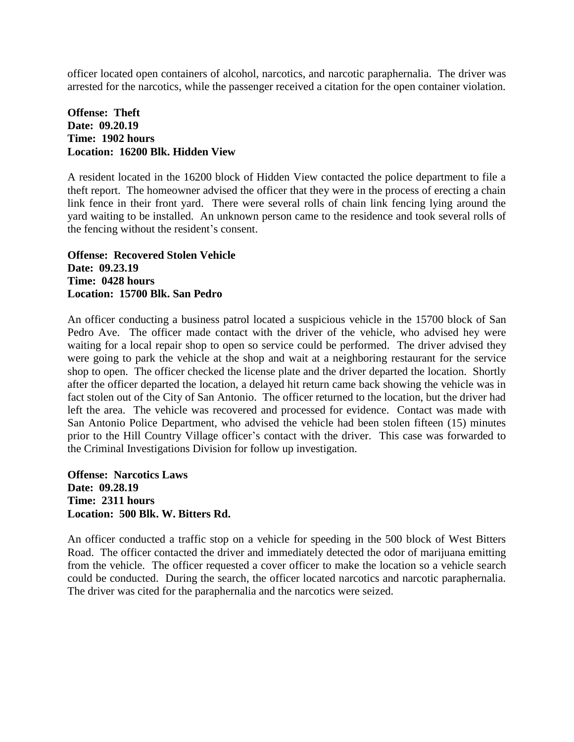officer located open containers of alcohol, narcotics, and narcotic paraphernalia. The driver was arrested for the narcotics, while the passenger received a citation for the open container violation.

# **Offense: Theft Date: 09.20.19 Time: 1902 hours Location: 16200 Blk. Hidden View**

A resident located in the 16200 block of Hidden View contacted the police department to file a theft report. The homeowner advised the officer that they were in the process of erecting a chain link fence in their front yard. There were several rolls of chain link fencing lying around the yard waiting to be installed. An unknown person came to the residence and took several rolls of the fencing without the resident's consent.

**Offense: Recovered Stolen Vehicle Date: 09.23.19 Time: 0428 hours Location: 15700 Blk. San Pedro**

An officer conducting a business patrol located a suspicious vehicle in the 15700 block of San Pedro Ave. The officer made contact with the driver of the vehicle, who advised hey were waiting for a local repair shop to open so service could be performed. The driver advised they were going to park the vehicle at the shop and wait at a neighboring restaurant for the service shop to open. The officer checked the license plate and the driver departed the location. Shortly after the officer departed the location, a delayed hit return came back showing the vehicle was in fact stolen out of the City of San Antonio. The officer returned to the location, but the driver had left the area. The vehicle was recovered and processed for evidence. Contact was made with San Antonio Police Department, who advised the vehicle had been stolen fifteen (15) minutes prior to the Hill Country Village officer's contact with the driver. This case was forwarded to the Criminal Investigations Division for follow up investigation.

**Offense: Narcotics Laws Date: 09.28.19 Time: 2311 hours Location: 500 Blk. W. Bitters Rd.**

An officer conducted a traffic stop on a vehicle for speeding in the 500 block of West Bitters Road. The officer contacted the driver and immediately detected the odor of marijuana emitting from the vehicle. The officer requested a cover officer to make the location so a vehicle search could be conducted. During the search, the officer located narcotics and narcotic paraphernalia. The driver was cited for the paraphernalia and the narcotics were seized.